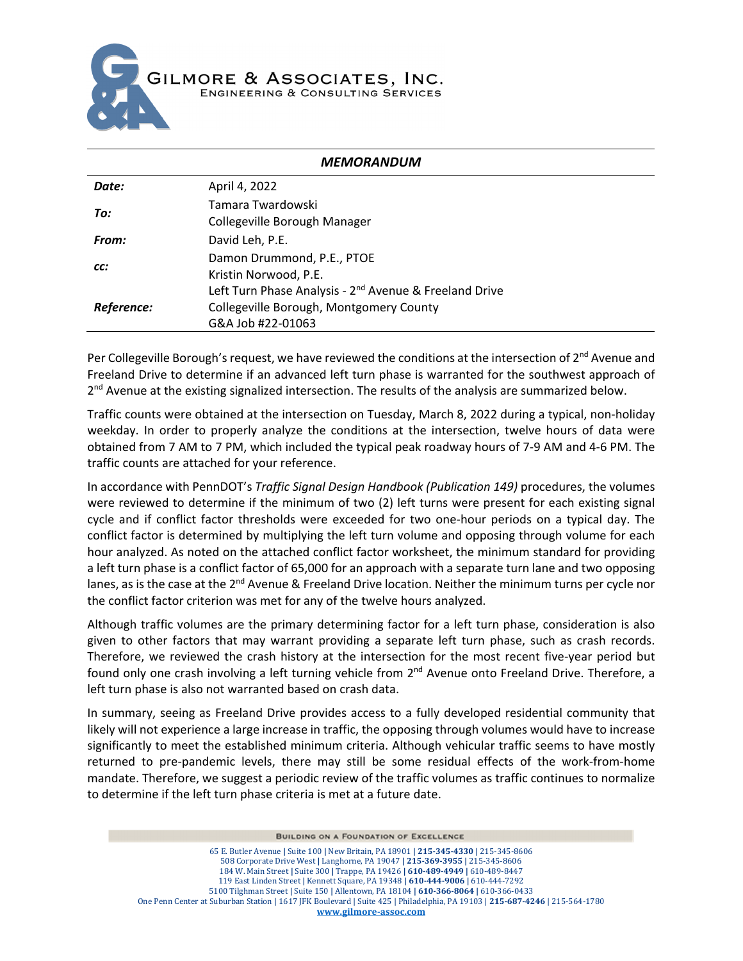

|            | <b>MEMORANDUM</b>                                                  |
|------------|--------------------------------------------------------------------|
| Date:      | April 4, 2022                                                      |
| To:        | Tamara Twardowski                                                  |
|            | Collegeville Borough Manager                                       |
| From:      | David Leh, P.E.                                                    |
|            | Damon Drummond, P.E., PTOE                                         |
| CC:        | Kristin Norwood, P.E.                                              |
|            | Left Turn Phase Analysis - 2 <sup>nd</sup> Avenue & Freeland Drive |
| Reference: | Collegeville Borough, Montgomery County                            |
|            | G&A Job #22-01063                                                  |

Per Collegeville Borough's request, we have reviewed the conditions at the intersection of  $2^{nd}$  Avenue and Freeland Drive to determine if an advanced left turn phase is warranted for the southwest approach of 2<sup>nd</sup> Avenue at the existing signalized intersection. The results of the analysis are summarized below.

Traffic counts were obtained at the intersection on Tuesday, March 8, 2022 during a typical, non-holiday weekday. In order to properly analyze the conditions at the intersection, twelve hours of data were obtained from 7 AM to 7 PM, which included the typical peak roadway hours of 7-9 AM and 4-6 PM. The traffic counts are attached for your reference.

In accordance with PennDOT's *Traffic Signal Design Handbook (Publication 149)* procedures, the volumes were reviewed to determine if the minimum of two (2) left turns were present for each existing signal cycle and if conflict factor thresholds were exceeded for two one-hour periods on a typical day. The conflict factor is determined by multiplying the left turn volume and opposing through volume for each hour analyzed. As noted on the attached conflict factor worksheet, the minimum standard for providing a left turn phase is a conflict factor of 65,000 for an approach with a separate turn lane and two opposing lanes, as is the case at the  $2<sup>nd</sup>$  Avenue & Freeland Drive location. Neither the minimum turns per cycle nor the conflict factor criterion was met for any of the twelve hours analyzed.

Although traffic volumes are the primary determining factor for a left turn phase, consideration is also given to other factors that may warrant providing a separate left turn phase, such as crash records. Therefore, we reviewed the crash history at the intersection for the most recent five-year period but found only one crash involving a left turning vehicle from 2<sup>nd</sup> Avenue onto Freeland Drive. Therefore, a left turn phase is also not warranted based on crash data.

In summary, seeing as Freeland Drive provides access to a fully developed residential community that likely will not experience a large increase in traffic, the opposing through volumes would have to increase significantly to meet the established minimum criteria. Although vehicular traffic seems to have mostly returned to pre-pandemic levels, there may still be some residual effects of the work-from-home mandate. Therefore, we suggest a periodic review of the traffic volumes as traffic continues to normalize to determine if the left turn phase criteria is met at a future date.

**BUILDING ON A FOUNDATION OF EXCELLENCE**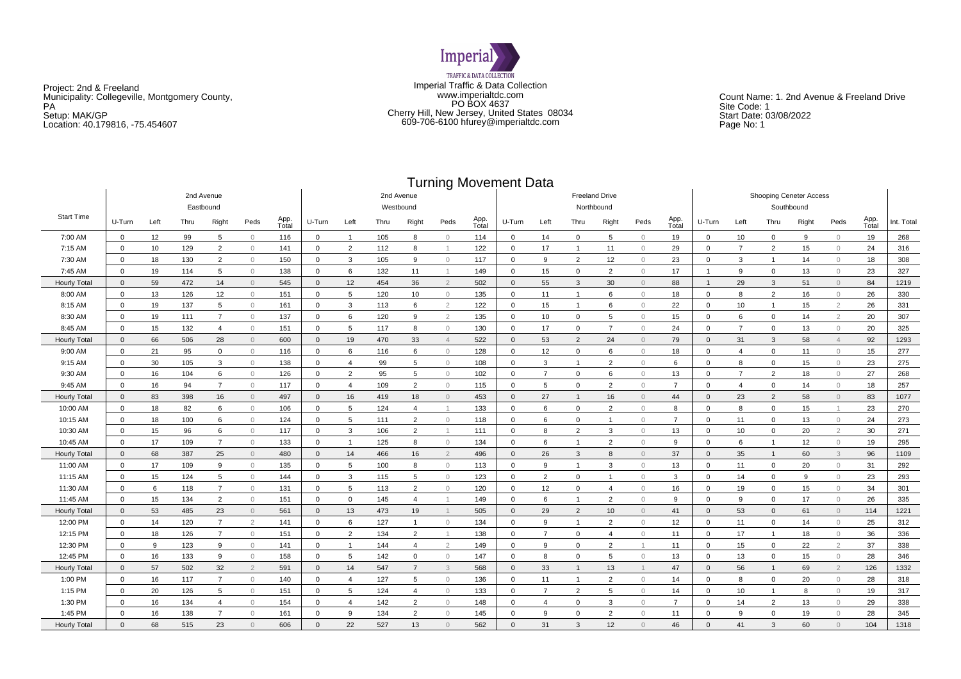

Project: 2nd & Freeland Municipality: Collegeville, Montgomery County, PA Setup: MAK/GP Location: 40.179816, -75.454607

Imperial Traffic & Data Collection www.imperialtdc.com PO BOX 4637 Cherry Hill, New Jersey, United States 08034 609-706-6100 hfurey@imperialtdc.com

Count Name: 1. 2nd Avenue & Freeland Drive Site Code: 1 Start Date: 03/08/2022 Page No: 1

# Turning Movement Data

|                         |                |      |      |                |                |                         |              |                |      |                       | .              |               |                                     |                |                |                |                |                |                                       |                |                |       |                |               |            |
|-------------------------|----------------|------|------|----------------|----------------|-------------------------|--------------|----------------|------|-----------------------|----------------|---------------|-------------------------------------|----------------|----------------|----------------|----------------|----------------|---------------------------------------|----------------|----------------|-------|----------------|---------------|------------|
| 2nd Avenue<br>Eastbound |                |      |      |                |                | 2nd Avenue<br>Westbound |              |                |      |                       |                |               | <b>Freeland Drive</b><br>Northbound |                |                |                |                |                | Shooping Ceneter Access<br>Southbound |                |                |       |                |               |            |
| <b>Start Time</b>       | U-Turn         | Left | Thru | Right          | Peds           | App.<br>Total           | U-Turn       | Left           | Thru | Right                 | Peds           | App.<br>Total | U-Turn                              | Left           | Thru           | Right          | Peds           | App.<br>Total  | U-Turn                                | Left           | Thru           | Right | Peds           | App.<br>Total | Int. Total |
| 7:00 AM                 | $\mathbf{0}$   | 12   | 99   | $5^{\circ}$    | $\Omega$       | 116                     | $\mathbf 0$  | $\overline{1}$ | 105  | 8                     | $\circ$        | 114           | $\mathbf{0}$                        | 14             | $\mathbf 0$    | 5              | $\circ$        | 19             | $\mathbf 0$                           | 10             | $\mathbf 0$    | 9     | $\bigcirc$     | 19            | 268        |
| 7:15 AM                 | $\mathbf{0}$   | 10   | 129  | $\overline{2}$ | $\Omega$       | 141                     | $\mathbf 0$  | 2              | 112  | 8                     | $\overline{1}$ | 122           | $\mathbf{0}$                        | 17             | -1             | 11             | $\circ$        | 29             | $\mathbf{0}$                          | 7              | $\overline{2}$ | 15    | $\circ$        | 24            | 316        |
| 7:30 AM                 | $\mathbf{0}$   | 18   | 130  | $\overline{2}$ | $\Omega$       | 150                     | $\mathbf 0$  | $\mathbf{3}$   | 105  | 9                     | $\circ$        | 117           | $\mathbf 0$                         | 9              | $\overline{2}$ | 12             | $\circ$        | 23             | $\mathbf 0$                           | 3              | $\overline{1}$ | 14    | $\circ$        | 18            | 308        |
| 7:45 AM                 | $\mathbf{0}$   | 19   | 114  | 5              | $\circ$        | 138                     | $\mathbf 0$  | 6              | 132  | 11                    | $\overline{1}$ | 149           | $\mathbf{0}$                        | 15             | $\mathbf 0$    | $\overline{2}$ | $\circ$        | 17             | -1                                    | 9              | $\mathbf 0$    | 13    | $\circ$        | 23            | 327        |
| <b>Hourly Total</b>     | $\overline{0}$ | 59   | 472  | 14             | $\circ$        | 545                     | $\mathbf{0}$ | 12             | 454  | 36                    | $\overline{2}$ | 502           | $\mathbf{0}$                        | 55             | 3              | 30             | $\overline{0}$ | 88             | $\overline{1}$                        | 29             | 3              | 51    | $\circ$        | 84            | 1219       |
| 8:00 AM                 | $\mathbf 0$    | 13   | 126  | 12             | $\Omega$       | 151                     | 0            | 5              | 120  | 10                    | $\circ$        | 135           | $\mathbf 0$                         | 11             | $\overline{1}$ | 6              | $\circ$        | 18             | $\mathbf{0}$                          | 8              | $\overline{2}$ | 16    | $\circ$        | 26            | 330        |
| 8:15 AM                 | $\mathbf 0$    | 19   | 137  | $5^{\circ}$    | $\bigcirc$     | 161                     | $\mathbf 0$  | 3              | 113  | 6                     | $\overline{2}$ | 122           | $\mathbf{0}$                        | 15             | $\overline{1}$ | 6              | $\circ$        | 22             | $\mathbf{0}$                          | 10             | $\overline{1}$ | 15    | $\overline{2}$ | 26            | 331        |
| 8:30 AM                 | $\overline{0}$ | 19   | 111  | $\overline{7}$ | $\Omega$       | 137                     | $\mathbf 0$  | 6              | 120  | 9                     | $\overline{2}$ | 135           | $\Omega$                            | 10             | $\mathbf 0$    | 5              | $\circ$        | 15             | $\Omega$                              | 6              | $\mathbf 0$    | 14    | $\overline{2}$ | 20            | 307        |
| 8:45 AM                 | $\mathbf 0$    | 15   | 132  | $\overline{4}$ | $\Omega$       | 151                     | $\Omega$     | 5              | 117  | 8                     | $\bigcap$      | 130           | $\Omega$                            | 17             | $\mathbf 0$    | $\overline{7}$ | $\mathbf{0}$   | 24             | $\Omega$                              | $\overline{7}$ | $\Omega$       | 13    | $\circ$        | 20            | 325        |
| <b>Hourly Total</b>     | $\mathbf{0}$   | 66   | 506  | 28             | $\circ$        | 600                     | $\mathbf{0}$ | 19             | 470  | 33                    | $\overline{4}$ | 522           | $\mathbf{0}$                        | 53             | $\overline{2}$ | 24             | $\circ$        | 79             | $\mathbf{0}$                          | 31             | 3              | 58    | $\overline{4}$ | 92            | 1293       |
| 9:00 AM                 | $\mathbf 0$    | 21   | 95   | 0              | $\circ$        | 116                     | 0            | 6              | 116  | 6                     | $\circ$        | 128           | $\mathbf 0$                         | 12             | $\mathbf 0$    | 6              | $\circ$        | 18             | 0                                     | $\overline{a}$ | 0              | 11    | $\circ$        | 15            | 277        |
| 9:15 AM                 | $\mathbf 0$    | 30   | 105  | 3              | $\circ$        | 138                     | 0            | $\overline{4}$ | 99   | 5                     | $\circ$        | 108           | $\mathbf 0$                         | 3              | $\overline{1}$ | $\overline{2}$ | $\circ$        | 6              | $\mathbf 0$                           | 8              | 0              | 15    | $\circ$        | 23            | 275        |
| 9:30 AM                 | $\mathbf 0$    | 16   | 104  | 6              | $\circ$        | 126                     | $\mathbf 0$  | $\overline{2}$ | 95   | 5                     | $\circ$        | 102           | $\mathbf{0}$                        | $\overline{7}$ | $\mathbf 0$    | 6              | $\circ$        | 13             | $\mathbf{0}$                          | $\overline{7}$ | $\overline{2}$ | 18    | $\circ$        | 27            | 268        |
| 9:45 AM                 | $\mathbf 0$    | 16   | 94   | $\overline{7}$ | $\circ$        | 117                     | $\Omega$     | $\overline{4}$ | 109  | $\overline{2}$        | $\circ$        | 115           | $\mathbf{0}$                        | 5              | $\mathbf 0$    | $\overline{2}$ | $\circ$        | $\overline{7}$ | $\Omega$                              | $\overline{4}$ | $\mathbf{0}$   | 14    | $\circ$        | 18            | 257        |
| <b>Hourly Total</b>     | $\mathbf{0}$   | 83   | 398  | 16             | $\Omega$       | 497                     | $\Omega$     | 16             | 419  | 18                    | $\overline{0}$ | 453           | $\mathbf 0$                         | 27             |                | 16             | $\circ$        | 44             | $\Omega$                              | 23             | $\overline{2}$ | 58    | $\circ$        | 83            | 1077       |
| 10:00 AM                | $\mathbf{0}$   | 18   | 82   | 6              | $\circ$        | 106                     | $\mathbf 0$  | 5              | 124  | $\overline{4}$        | $\overline{1}$ | 133           | $\mathbf{0}$                        | 6              | $\mathbf 0$    | $\overline{2}$ | $\mathbf{0}$   | 8              | $\Omega$                              | 8              | $\mathbf 0$    | 15    | $\overline{1}$ | 23            | 270        |
| 10:15 AM                | $\mathbf{0}$   | 18   | 100  | 6              | $\circ$        | 124                     | $\mathbf 0$  | 5              | 111  | $\overline{2}$        | $\circ$        | 118           | $\mathbf{0}$                        | 6              | $\mathbf 0$    | $\overline{1}$ | $\circ$        | $\overline{7}$ | $\mathbf 0$                           | 11             | $\mathbf 0$    | 13    | $\circ$        | 24            | 273        |
| 10:30 AM                | $\overline{0}$ | 15   | 96   | 6              | $\circ$        | 117                     | $\mathbf 0$  | 3              | 106  | $\overline{2}$        |                | 111           | $\mathbf 0$                         | 8              | $\overline{2}$ | 3              | $\mathbf{0}$   | 13             | $\mathbf 0$                           | 10             | $\mathbf 0$    | 20    | $\overline{2}$ | 30            | 271        |
| 10:45 AM                | $\mathbf{0}$   | 17   | 109  | $\overline{7}$ | $\Omega$       | 133                     | $\mathbf 0$  | $\overline{1}$ | 125  | 8                     | $\bigcap$      | 134           | $\mathbf 0$                         | 6              |                | $\overline{2}$ | $\mathbf{0}$   | 9              | $\mathbf 0$                           | 6              | $\overline{1}$ | 12    | $\circ$        | 19            | 295        |
| <b>Hourly Total</b>     | $\mathbf{0}$   | 68   | 387  | 25             | $\Omega$       | 480                     | $\mathbf{0}$ | 14             | 466  | 16                    | $\overline{2}$ | 496           | $\mathbf{0}$                        | 26             | 3              | 8              | $\circ$        | 37             | $\Omega$                              | 35             | $\overline{1}$ | 60    | 3              | 96            | 1109       |
| 11:00 AM                | $\Omega$       | 17   | 109  | 9              | $\bigcap$      | 135                     | $\Omega$     | 5              | 100  | 8                     | $\bigcap$      | 113           | $\Omega$                            | 9              |                | 3              | $\bigcap$      | 13             | $\Omega$                              | 11             | $\mathbf 0$    | 20    | $\circ$        | 31            | 292        |
| 11:15 AM                | $\mathbf{0}$   | 15   | 124  | 5              | $\Omega$       | 144                     | $\Omega$     | $\mathbf{3}$   | 115  | 5                     | $\bigcirc$     | 123           | $\Omega$                            | $\overline{2}$ | $\mathbf 0$    | $\overline{1}$ | $\bigcirc$     | 3              | $\Omega$                              | 14             | $\mathbf 0$    | 9     | $\circ$        | 23            | 293        |
| 11:30 AM                | $\mathbf{0}$   | 6    | 118  | $\overline{7}$ | $\circ$        | 131                     | $\mathbf 0$  | 5              | 113  | $\overline{2}$        | $\circ$        | 120           | $\mathbf{0}$                        | 12             | $\mathbf 0$    | $\overline{4}$ | $\circ$        | 16             | $\mathbf{0}$                          | 19             | $\mathbf 0$    | 15    | $\circ$        | 34            | 301        |
| 11:45 AM                | $\mathbf{0}$   | 15   | 134  | $\overline{2}$ | $\circ$        | 151                     | $\mathbf 0$  | $\mathbf 0$    | 145  | $\overline{4}$        | $\overline{1}$ | 149           | $\Omega$                            | 6              | $\overline{1}$ | 2              | $\mathbf{0}$   | 9              | $\Omega$                              | 9              | $\mathbf 0$    | 17    | $\circ$        | 26            | 335        |
| <b>Hourly Total</b>     | $\overline{0}$ | 53   | 485  | 23             | $\circ$        | 561                     | $\mathbf{0}$ | 13             | 473  | 19                    | $\overline{1}$ | 505           | $\mathbf{0}$                        | 29             | $\overline{2}$ | 10             | $\circ$        | 41             | $\Omega$                              | 53             | $\mathbf 0$    | 61    | $\circ$        | 114           | 1221       |
| 12:00 PM                | $\mathbf{0}$   | 14   | 120  | $\overline{7}$ | $\mathcal{P}$  | 141                     | $\mathbf 0$  | 6              | 127  | $\overline{1}$        | $\circ$        | 134           | $\mathbf{0}$                        | 9              | -1             | $\overline{2}$ | $\circ$        | 12             | $\mathbf{0}$                          | 11             | $\mathbf 0$    | 14    | $\circ$        | 25            | 312        |
| 12:15 PM                | $\Omega$       | 18   | 126  | $\overline{7}$ | $\bigcap$      | 151                     | $\Omega$     | 2              | 134  | $\overline{2}$        | $\overline{1}$ | 138           | $\mathbf 0$                         | $\overline{7}$ | $\mathbf 0$    | $\overline{4}$ | $\bigcap$      | 11             | $\Omega$                              | 17             | $\overline{1}$ | 18    | $\circ$        | 36            | 336        |
| 12:30 PM                | $\mathbf{0}$   | 9    | 123  | 9              | $\Omega$       | 141                     | $\mathbf 0$  | $\overline{1}$ | 144  | 4                     | $\overline{2}$ | 149           | $\mathbf{0}$                        | 9              | $\mathbf 0$    | $\overline{2}$ | $\mathbf{1}$   | 11             | $\Omega$                              | 15             | $\mathbf 0$    | 22    | $\overline{2}$ | 37            | 338        |
| 12:45 PM                | $\mathbf{0}$   | 16   | 133  | 9              | $\circ$        | 158                     | $\mathbf 0$  | 5              | 142  | $\mathbf{0}$          | $\circ$        | 147           | $\mathbf{0}$                        | 8              | $\mathbf 0$    | 5              | $\circ$        | 13             | $\mathbf{0}$                          | 13             | $\mathbf 0$    | 15    | $\circ$        | 28            | 346        |
| <b>Hourly Total</b>     | $\overline{0}$ | 57   | 502  | 32             | $\overline{2}$ | 591                     | $\mathbf{0}$ | 14             | 547  | $\overline{7}$        | 3              | 568           | $\mathbf{0}$                        | 33             | $\overline{1}$ | 13             | $\mathbf 1$    | 47             | $\mathbf{0}$                          | 56             | $\overline{1}$ | 69    | $\overline{2}$ | 126           | 1332       |
| 1:00 PM                 | $\mathbf 0$    | 16   | 117  | $\overline{7}$ | $\bigcap$      | 140                     | $^{\circ}$   | $\overline{4}$ | 127  | 5                     | $\bigcirc$     | 136           | $\mathbf 0$                         | 11             | -1             | $\overline{2}$ | $\mathbf{0}$   | 14             | $\Omega$                              | 8              | $\mathbf 0$    | 20    | $\circ$        | 28            | 318        |
| 1:15 PM                 | $\mathbf{0}$   | 20   | 126  | 5              | $\bigcap$      | 151                     | $\mathbf 0$  | 5              | 124  | $\boldsymbol{\Delta}$ | $\bigcap$      | 133           | $\mathbf 0$                         | $\overline{7}$ | $\overline{2}$ | 5              | $\circ$        | 14             | $\Omega$                              | 10             | $\overline{1}$ | 8     | $\circ$        | 19            | 317        |
| 1:30 PM                 | $\overline{0}$ | 16   | 134  | 4              | $\bigcap$      | 154                     | $\Omega$     | $\overline{4}$ | 142  | 2                     | $\circ$        | 148           | $\Omega$                            | $\overline{a}$ | $\mathbf 0$    | 3              | $\circ$        | $\overline{7}$ | $\Omega$                              | 14             | 2              | 13    | $\circ$        | 29            | 338        |
| 1:45 PM                 | $\Omega$       | 16   | 138  | $\overline{7}$ | $\bigcap$      | 161                     | $\Omega$     | 9              | 134  | $\overline{2}$        | $\bigcirc$     | 145           | $\mathbf 0$                         | $\mathbf{q}$   | $\Omega$       | $\overline{2}$ | $\bigcap$      | 11             | $\Omega$                              | 9              | $\Omega$       | 19    | $\Omega$       | 28            | 345        |
| <b>Hourly Total</b>     | $\overline{0}$ | 68   | 515  | 23             | $\Omega$       | 606                     | $\Omega$     | 22             | 527  | 13                    | $\Omega$       | 562           | $\Omega$                            | 31             | 3              | 12             | $\mathbf{0}$   | 46             | $\Omega$                              | 41             | 3              | 60    | $\mathbf{0}$   | 104           | 1318       |
|                         |                |      |      |                |                |                         |              |                |      |                       |                |               |                                     |                |                |                |                |                |                                       |                |                |       |                |               |            |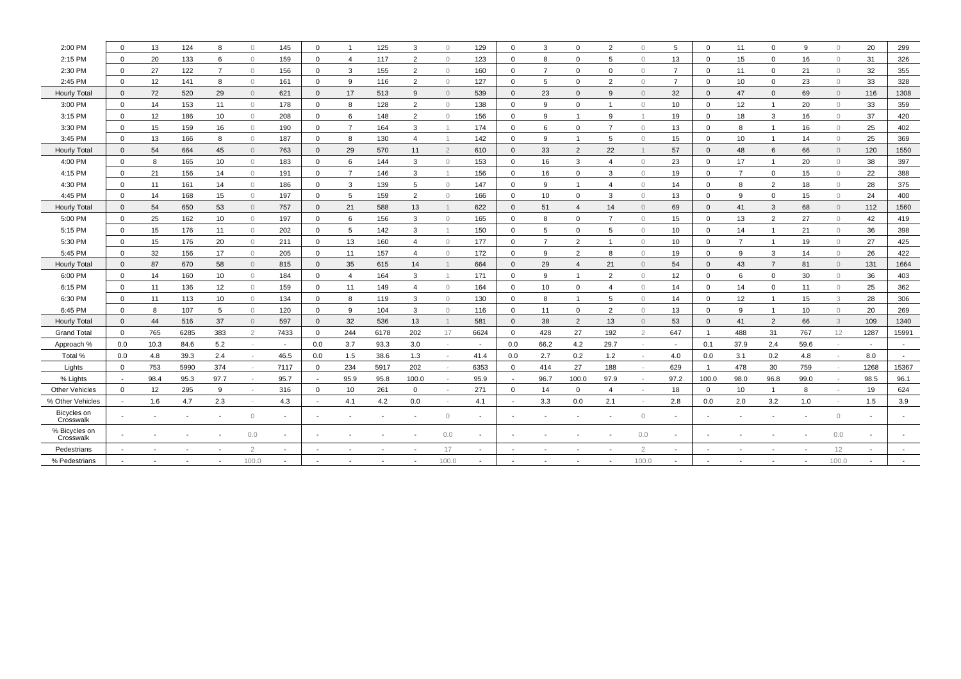| 2:00 PM                    | $\Omega$    | 13   | 124  | 8               | $\circ$                  | 145                      | $\mathbf 0$              | $\overline{1}$ | 125  | 3              | $\circ$        | 129    | $\mathbf 0$  | 3              | $\mathbf 0$    | $\overline{2}$ | $\circ$    | 5    | $\mathbf{0}$   | 11              | $\mathbf 0$    | 9                        | $\circ$                  | 20                       | 299                      |
|----------------------------|-------------|------|------|-----------------|--------------------------|--------------------------|--------------------------|----------------|------|----------------|----------------|--------|--------------|----------------|----------------|----------------|------------|------|----------------|-----------------|----------------|--------------------------|--------------------------|--------------------------|--------------------------|
| 2:15 PM                    | $\mathbf 0$ | 20   | 133  | 6               | $\overline{0}$           | 159                      | $\mathbf 0$              | $\overline{4}$ | 117  | $\overline{2}$ | $\overline{0}$ | 123    | $\mathbf{0}$ | 8              | $\mathbf 0$    | 5              | $\circ$    | 13   | $\mathbf{0}$   | 15              | $\mathbf 0$    | 16                       | $\circ$                  | 31                       | 326                      |
| 2:30 PM                    | $\mathbf 0$ | 27   | 122  | $\overline{7}$  | $\circ$                  | 156                      | $\mathbf 0$              | $\mathbf{3}$   | 155  | 2              | $\circ$        | 160    | $\mathbf 0$  | $\overline{7}$ | $\mathbf 0$    | $\mathbf{0}$   | $\circ$    | 7    | $\mathbf{0}$   | 11              | $\mathbf 0$    | 21                       | $\circ$                  | 32                       | 355                      |
| 2:45 PM                    | $\Omega$    | 12   | 141  | 8               | $\circ$                  | 161                      | $\mathbf 0$              | 9              | 116  | $\overline{2}$ | $\circ$        | 127    | $\mathbf 0$  | 5              | $\mathbf 0$    | $\overline{2}$ | $\circ$    | 7    | $\Omega$       | 10              | $\mathbf 0$    | 23                       | $\circ$                  | 33                       | 328                      |
| Hourly Total               | $\Omega$    | 72   | 520  | 29              | $\overline{0}$           | 621                      | $\mathbf{0}$             | 17             | 513  | 9              | $\circ$        | 539    | $\Omega$     | 23             | $\mathbf{0}$   | 9              | $\circ$    | 32   | $\Omega$       | 47              | $\mathbf{0}$   | 69                       | $\circ$                  | 116                      | 1308                     |
| 3:00 PM                    | $\Omega$    | 14   | 153  | 11              | $\circ$                  | 178                      | $\mathbf 0$              | 8              | 128  | $\overline{2}$ | $\circ$        | 138    | $\mathbf 0$  | 9              | $\mathbf 0$    | $\mathbf{1}$   | $\circ$    | 10   | $\mathbf{0}$   | 12              | $\overline{1}$ | 20                       | $\circ$                  | 33                       | 359                      |
| 3:15 PM                    | $\Omega$    | 12   | 186  | 10              | $\circ$                  | 208                      | $\mathbf 0$              | 6              | 148  | $\overline{2}$ | $\circ$        | 156    | $\mathbf 0$  | 9              | $\overline{1}$ | 9              |            | 19   | $\mathbf{0}$   | 18              | 3              | 16                       | $\circledcirc$           | 37                       | 420                      |
| 3:30 PM                    | $\Omega$    | 15   | 159  | 16              | $\circ$                  | 190                      | $\mathbf 0$              | $\overline{7}$ | 164  | 3              | $\mathbf{1}$   | 174    | $\mathbf 0$  | 6              | $\mathbf 0$    | $\overline{7}$ | $\bigcirc$ | 13   | $\Omega$       | 8               | -1             | 16                       | $\circ$                  | 25                       | 402                      |
| 3:45 PM                    | $\Omega$    | 13   | 166  | 8               | $\circ$                  | 187                      | $\mathbf 0$              | 8              | 130  | $\overline{4}$ | $\mathbf{1}$   | 142    | $\mathbf 0$  | 9              | $\mathbf{1}$   | 5              | $\circ$    | 15   | 0              | 10 <sup>1</sup> | $\overline{1}$ | 14                       | $\circledcirc$           | 25                       | 369                      |
| Hourly Total               | $\Omega$    | 54   | 664  | 45              | $\overline{0}$           | 763                      | $\mathbf 0$              | 29             | 570  | 11             | $\overline{2}$ | 610    | $\Omega$     | 33             | $\overline{2}$ | 22             |            | 57   | $\Omega$       | 48              | 6              | 66                       | $\mathbf{0}$             | 120                      | 1550                     |
| 4:00 PM                    | $\Omega$    | 8    | 165  | 10              | $\mathbf{0}$             | 183                      | $\mathbf 0$              | 6              | 144  | 3              | $\circ$        | 153    | $\Omega$     | 16             | 3              | $\overline{4}$ | $\bigcap$  | 23   | $\mathbf 0$    | 17              | $\overline{1}$ | 20                       | $\circ$                  | 38                       | 397                      |
| 4:15 PM                    | $\Omega$    | 21   | 156  | 14              | $\overline{0}$           | 191                      | $\mathbf 0$              | $\overline{7}$ | 146  | 3              | $\mathbf{1}$   | 156    | $\Omega$     | 16             | $\mathbf 0$    | 3              | $\bigcap$  | 19   | $\Omega$       | $\overline{7}$  | $\mathbf 0$    | 15                       | $\circ$                  | 22                       | 388                      |
| 4:30 PM                    | $\Omega$    | 11   | 161  | 14              | $\overline{0}$           | 186                      | $\mathbf 0$              | 3              | 139  | 5              | $\circ$        | 147    | $\Omega$     | 9              | $\mathbf{1}$   | $\overline{4}$ | $\circ$    | 14   | $\mathbf 0$    | 8               | 2              | 18                       | $\circ$                  | 28                       | 375                      |
| 4:45 PM                    | $\Omega$    | 14   | 168  | 15              | $\overline{0}$           | 197                      | $\mathbf 0$              | 5              | 159  | $\overline{2}$ | $\circ$        | 166    | $\Omega$     | 10             | $\mathbf 0$    | 3              | $\bigcirc$ | 13   | $\Omega$       | 9               | $\mathbf{0}$   | 15                       | $\circ$                  | 24                       | 400                      |
| Hourly Total               | $\Omega$    | 54   | 650  | 53              | $\overline{0}$           | 757                      | $\mathbf 0$              | 21             | 588  | 13             | $\mathbf{1}$   | 622    | $\Omega$     | 51             | $\overline{a}$ | 14             | $\circ$    | 69   | $\Omega$       | 41              | 3              | 68                       | $\mathbf{0}$             | 112                      | 1560                     |
| 5:00 PM                    | $\Omega$    | 25   | 162  | 10              | $\overline{0}$           | 197                      | $\mathbf 0$              | 6              | 156  | 3              | $\circ$        | 165    | $\Omega$     | 8              | $\Omega$       | $\overline{7}$ | $\circ$    | 15   | $\Omega$       | 13              | $\overline{2}$ | 27                       | $\circ$                  | 42                       | 419                      |
| 5:15 PM                    | $\Omega$    | 15   | 176  | 11              | $\circ$                  | 202                      | $\mathbf 0$              | 5              | 142  | 3              | $\mathbf{1}$   | 150    | $\Omega$     | 5              | 0              | 5              | $\circ$    | 10   | $\mathbf{0}$   | 14              | $\overline{1}$ | 21                       | $\circ$                  | 36                       | 398                      |
| 5:30 PM                    | $\Omega$    | 15   | 176  | 20              | $\circ$                  | 211                      | $\mathbf 0$              | 13             | 160  | $\overline{4}$ | $\circ$        | 177    | $\Omega$     | $\overline{7}$ | $\overline{2}$ | $\mathbf{1}$   | $\bigcap$  | 10   | $\Omega$       | $\overline{7}$  | $\overline{1}$ | 19                       | $\Omega$                 | 27                       | 425                      |
| 5:45 PM                    | $\Omega$    | 32   | 156  | 17              | $\circ$                  | 205                      | $\mathbf 0$              | 11             | 157  | $\overline{4}$ | $\circ$        | 172    | $\Omega$     | 9              | $\overline{2}$ | 8              | $\Omega$   | 19   | $\Omega$       | 9               | 3              | 14                       | $\circ$                  | 26                       | 422                      |
| Hourly Total               | $\Omega$    | 87   | 670  | 58              | $\overline{0}$           | 815                      | $\mathbf{0}$             | 35             | 615  | 14             | $\mathbf 1$    | 664    | $\Omega$     | 29             | $\overline{4}$ | 21             | $\bigcap$  | 54   | $\Omega$       | 43              | $\overline{7}$ | 81                       | $\overline{0}$           | 131                      | 1664                     |
| 6:00 PM                    | $\Omega$    | 14   | 160  | 10              | $\circ$                  | 184                      | $\mathbf 0$              | $\overline{4}$ | 164  | 3              | $\mathbf{1}$   | 171    | $\mathbf 0$  | 9              | $\overline{1}$ | $\overline{2}$ | $\bigcap$  | 12   | $\Omega$       | 6               | $\mathbf 0$    | 30                       | $\mathbf{0}$             | 36                       | 403                      |
| 6:15 PM                    | $\Omega$    | 11   | 136  | 12              | $\overline{0}$           | 159                      | $\mathbf 0$              | 11             | 149  | $\overline{4}$ | $\circ$        | 164    | $\mathbf 0$  | 10             | $\mathbf 0$    | $\overline{4}$ | $\bigcap$  | 14   | $\mathbf 0$    | 14              | $\mathbf 0$    | 11                       | $\mathbf{0}$             | 25                       | 362                      |
| 6:30 PM                    | $\Omega$    | 11   | 113  | 10 <sup>1</sup> | $\circ$                  | 134                      | $\mathbf 0$              | 8              | 119  | 3              | $\circ$        | 130    | 0            | 8              | $\mathbf{1}$   | 5              | $\circ$    | 14   | $\mathbf{0}$   | 12              |                | 15                       | 3                        | 28                       | 306                      |
| 6:45 PM                    | $\Omega$    | 8    | 107  | 5               | $\overline{0}$           | 120                      | $\mathbf 0$              | 9              | 104  | 3              | $\circ$        | 116    | $\Omega$     | 11             | $\Omega$       | $\overline{2}$ | $\Omega$   | 13   | $\Omega$       | 9               | $\overline{1}$ | 10                       | $\overline{0}$           | 20                       | 269                      |
| Hourly Total               | $\Omega$    | 44   | 516  | 37              | $\Omega$                 | 597                      | $\mathbf{0}$             | 32             | 536  | 13             | 1              | 581    | $\Omega$     | 38             | $\overline{2}$ | 13             | $\Omega$   | 53   | $\Omega$       | 41              | $\overline{2}$ | 66                       | 3                        | 109                      | 1340                     |
| <b>Grand Total</b>         | $\Omega$    | 765  | 6285 | 383             | $\overline{2}$           | 7433                     | $\mathbf{0}$             | 244            | 6178 | 202            | 17             | 6624   | $\Omega$     | 428            | 27             | 192            | 2          | 647  | $\overline{1}$ | 488             | 31             | 767                      | 12                       | 1287                     | 15991                    |
| Approach %                 | 0.0         | 10.3 | 84.6 | 5.2             | $\overline{\phantom{a}}$ | $\overline{\phantom{a}}$ | 0.0                      | 3.7            | 93.3 | 3.0            | $\sim$         | $\sim$ | 0.0          | 66.2           | 4.2            | 29.7           | $\sim$     |      | 0.1            | 37.9            | 2.4            | 59.6                     | $\sim$                   | $\sim$                   |                          |
| Total %                    | 0.0         | 4.8  | 39.3 | 2.4             |                          | 46.5                     | 0.0                      | 1.5            | 38.6 | 1.3            | $\sim$         | 41.4   | 0.0          | 2.7            | 0.2            | 1.2            |            | 4.0  | 0.0            | 3.1             | 0.2            | 4.8                      | $\overline{\phantom{a}}$ | 8.0                      | $\overline{\phantom{a}}$ |
| Lights                     | $\mathbf 0$ | 753  | 5990 | 374             |                          | 7117                     | $\mathbf 0$              | 234            | 5917 | 202            | $\sim$         | 6353   | $\mathbf 0$  | 414            | 27             | 188            |            | 629  | $\overline{1}$ | 478             | 30             | 759                      |                          | 1268                     | 15367                    |
| % Lights                   |             | 98.4 | 95.3 | 97.7            |                          | 95.7                     | $\overline{\phantom{a}}$ | 95.9           | 95.8 | 100.0          | $\sim$         | 95.9   |              | 96.7           | 100.0          | 97.9           |            | 97.2 | 100.0          | 98.0            | 96.8           | 99.0                     | $\overline{\phantom{a}}$ | 98.5                     | 96.1                     |
| <b>Other Vehicles</b>      | $\Omega$    | 12   | 295  | 9               |                          | 316                      | $\mathbf 0$              | 10             | 261  | $\mathbf 0$    | $\sim$         | 271    | $\mathbf 0$  | 14             | $\mathbf 0$    | $\overline{4}$ |            | 18   | $\mathbf{0}$   | 10 <sup>°</sup> | $\overline{1}$ | 8                        |                          | 19                       | 624                      |
| % Other Vehicles           |             | 1.6  | 4.7  | 2.3             |                          | 4.3                      | $\overline{\phantom{a}}$ | 4.1            | 4.2  | 0.0            | $\sim$         | 4.1    |              | 3.3            | 0.0            | 2.1            |            | 2.8  | 0.0            | 2.0             | 3.2            | 1.0                      |                          | 1.5                      | 3.9                      |
| Bicycles on<br>Crosswalk   |             |      |      |                 | $\circ$                  | $\blacksquare$           |                          |                |      |                | $\circ$        |        |              |                |                |                | $\circ$    |      |                |                 |                | $\overline{\phantom{a}}$ | $\circledcirc$           | $\overline{\phantom{a}}$ |                          |
| % Bicycles on<br>Crosswalk |             |      |      |                 | 0.0                      |                          |                          |                |      |                | 0.0            |        |              |                |                |                | 0.0        |      |                |                 |                |                          | 0.0                      | $\overline{\phantom{a}}$ |                          |
| Pedestrians                |             |      |      |                 | $\mathcal{D}$            |                          |                          |                |      |                | 17             |        |              |                |                |                |            |      |                |                 |                |                          | 12                       | ٠                        | $\overline{\phantom{a}}$ |
| % Pedestrians              |             |      |      |                 | 100.0                    |                          |                          |                |      |                | 100.0          |        |              |                |                |                | 100.0      |      |                |                 |                |                          | 100.0                    |                          |                          |